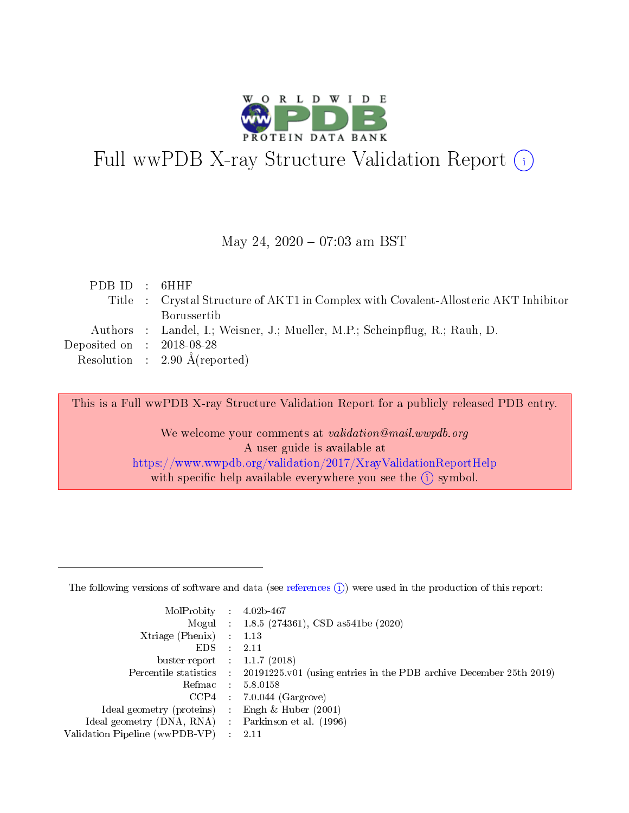

# Full wwPDB X-ray Structure Validation Report (i)

#### May 24,  $2020 - 07:03$  am BST

| PDBID : 6HHF                |                                                                                     |
|-----------------------------|-------------------------------------------------------------------------------------|
|                             | Title : Crystal Structure of AKT1 in Complex with Covalent-Allosteric AKT Inhibitor |
|                             | <b>Borussertib</b>                                                                  |
|                             | Authors : Landel, I.; Weisner, J.; Mueller, M.P.; Scheinpflug, R.; Rauh, D.         |
| Deposited on : $2018-08-28$ |                                                                                     |
|                             | Resolution : $2.90 \text{ Å}$ (reported)                                            |
|                             |                                                                                     |

This is a Full wwPDB X-ray Structure Validation Report for a publicly released PDB entry.

We welcome your comments at validation@mail.wwpdb.org A user guide is available at <https://www.wwpdb.org/validation/2017/XrayValidationReportHelp> with specific help available everywhere you see the  $(i)$  symbol.

The following versions of software and data (see [references](https://www.wwpdb.org/validation/2017/XrayValidationReportHelp#references)  $(1)$ ) were used in the production of this report:

| MolProbity :                   |               | $4.02b - 467$                                                               |
|--------------------------------|---------------|-----------------------------------------------------------------------------|
|                                |               | Mogul : $1.8.5$ (274361), CSD as 541be (2020)                               |
| Xtriage (Phenix)               | $\mathcal{L}$ | 1.13                                                                        |
| EDS.                           |               | 2.11                                                                        |
| buster-report : $1.1.7$ (2018) |               |                                                                             |
| Percentile statistics :        |               | $20191225 \text{v}01$ (using entries in the PDB archive December 25th 2019) |
| Refmac :                       |               | 5.8.0158                                                                    |
| CCP4                           |               | $7.0.044$ (Gargrove)                                                        |
| Ideal geometry (proteins) :    |               | Engh $\&$ Huber (2001)                                                      |
| Ideal geometry (DNA, RNA) :    |               | Parkinson et al. (1996)                                                     |
| Validation Pipeline (wwPDB-VP) | $\mathcal{L}$ | 2.11                                                                        |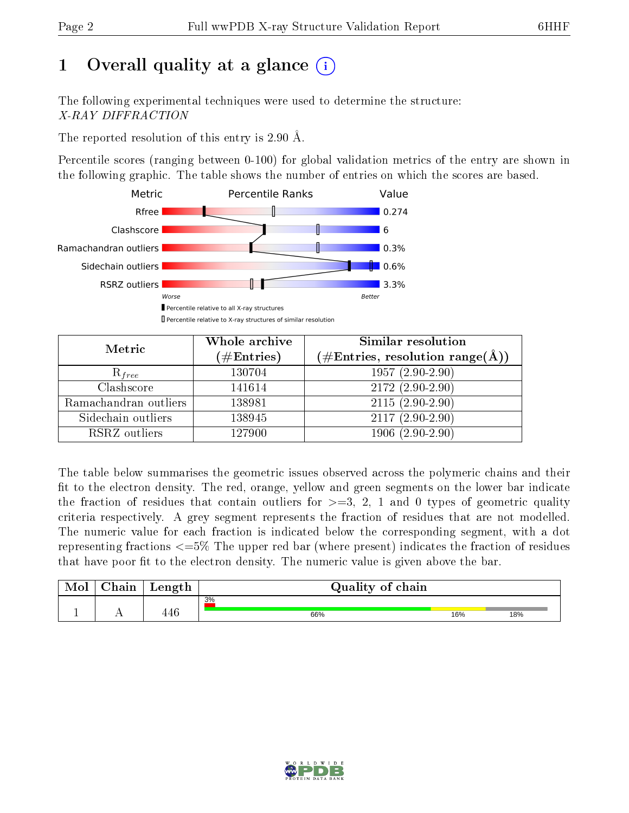# 1 [O](https://www.wwpdb.org/validation/2017/XrayValidationReportHelp#overall_quality)verall quality at a glance  $(i)$

The following experimental techniques were used to determine the structure: X-RAY DIFFRACTION

The reported resolution of this entry is 2.90 Å.

Percentile scores (ranging between 0-100) for global validation metrics of the entry are shown in the following graphic. The table shows the number of entries on which the scores are based.



| Metric                | Whole archive<br>$(\#\mathrm{Entries})$ | Similar resolution<br>$(\#\text{Entries},\,\text{resolution}\,\,\text{range}(\textup{\AA}))$ |  |  |
|-----------------------|-----------------------------------------|----------------------------------------------------------------------------------------------|--|--|
| $R_{free}$            | 130704                                  | $1957(2.90-2.90)$                                                                            |  |  |
| Clashscore            | 141614                                  | $2172(2.90-2.90)$                                                                            |  |  |
| Ramachandran outliers | 138981                                  | $2115(2.90-2.90)$                                                                            |  |  |
| Sidechain outliers    | 138945                                  | $2117(2.90-2.90)$                                                                            |  |  |
| RSRZ outliers         | 127900                                  | $1906(2.90-2.90)$                                                                            |  |  |

The table below summarises the geometric issues observed across the polymeric chains and their fit to the electron density. The red, orange, yellow and green segments on the lower bar indicate the fraction of residues that contain outliers for  $>=3, 2, 1$  and 0 types of geometric quality criteria respectively. A grey segment represents the fraction of residues that are not modelled. The numeric value for each fraction is indicated below the corresponding segment, with a dot representing fractions  $\epsilon=5\%$  The upper red bar (where present) indicates the fraction of residues that have poor fit to the electron density. The numeric value is given above the bar.

| Mol | $\cap$ hain | Length                     | Quality of chain |     |     |
|-----|-------------|----------------------------|------------------|-----|-----|
|     |             |                            | 3%               |     |     |
|     |             | $\Lambda$ $\Omega$<br>14 C | 66%              | 16% | 18% |

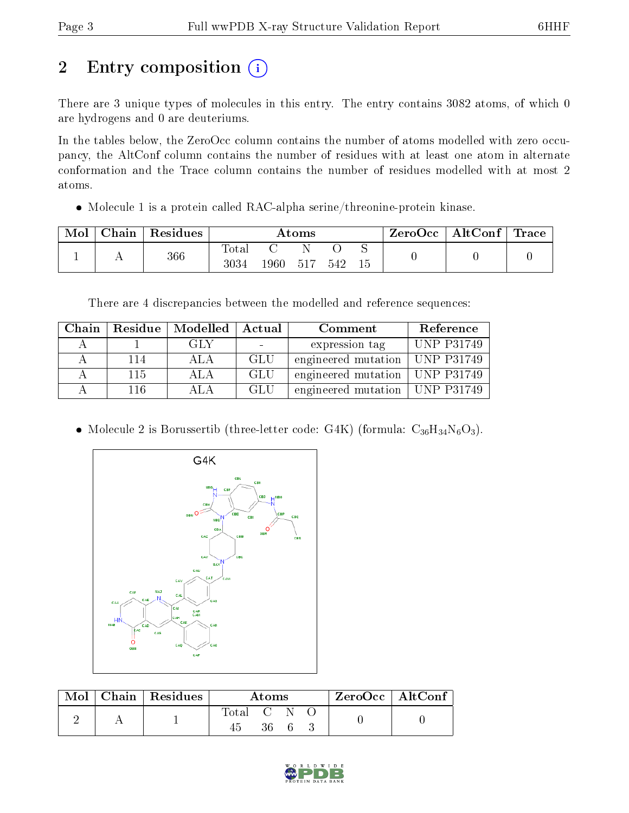# 2 Entry composition (i)

There are 3 unique types of molecules in this entry. The entry contains 3082 atoms, of which 0 are hydrogens and 0 are deuteriums.

In the tables below, the ZeroOcc column contains the number of atoms modelled with zero occupancy, the AltConf column contains the number of residues with at least one atom in alternate conformation and the Trace column contains the number of residues modelled with at most 2 atoms.

Molecule 1 is a protein called RAC-alpha serine/threonine-protein kinase.

| Mol | Chain | Residues | Atoms                    |        |       |     |     | ZeroOcc | $\mid$ AltConf $\mid$ Trace $\mid$ |  |
|-----|-------|----------|--------------------------|--------|-------|-----|-----|---------|------------------------------------|--|
|     |       | 366      | $\mathrm{Total}$<br>3034 | 1960 - | - 517 | 542 | -15 |         |                                    |  |

There are 4 discrepancies between the modelled and reference sequences:

| Chain |     | Residue   Modelled | Actual | Comment                          | Reference         |
|-------|-----|--------------------|--------|----------------------------------|-------------------|
|       |     | GLY                |        | expression tag                   | <b>UNP P31749</b> |
|       | 114 | A LA               | GLU    | engineered mutation   UNP P31749 |                   |
|       | 115 | ALA.               | GLU    | engineered mutation   UNP P31749 |                   |
|       | 116 | ATA                | GLU    | engineered mutation   UNP P31749 |                   |

• Molecule 2 is Borussertib (three-letter code: G4K) (formula:  $C_{36}H_{34}N_6O_3$ ).



| Mol | $\mid$ Chain $\mid$ Residues | Atoms       |  |      |  | $ZeroOcc \mid AltConf \mid$ |
|-----|------------------------------|-------------|--|------|--|-----------------------------|
|     |                              | Total C N O |  | 36 6 |  |                             |

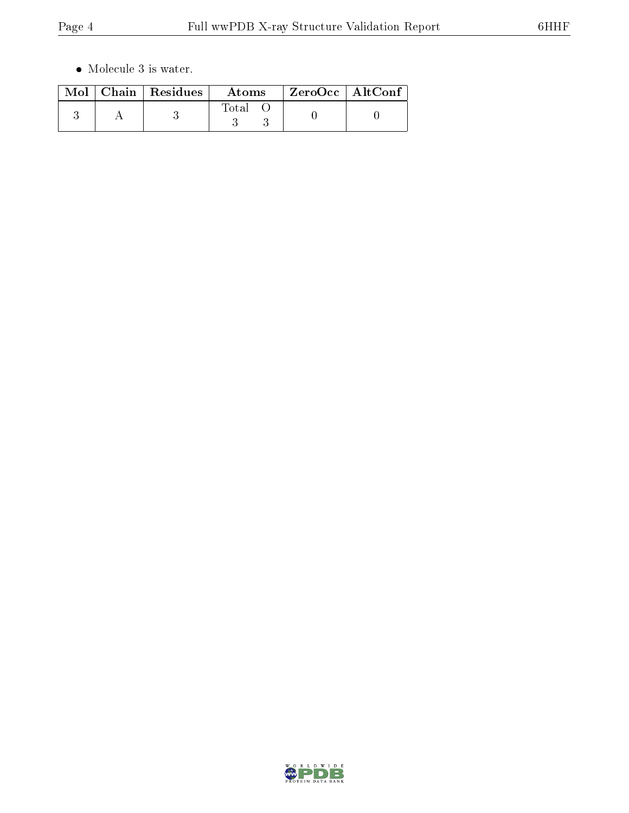$\bullet\,$  Molecule 3 is water.

|  | $\text{Mol}$   Chain   Residues | Atoms | $ZeroOcc \mid AltConf$ |  |
|--|---------------------------------|-------|------------------------|--|
|  |                                 | Total |                        |  |

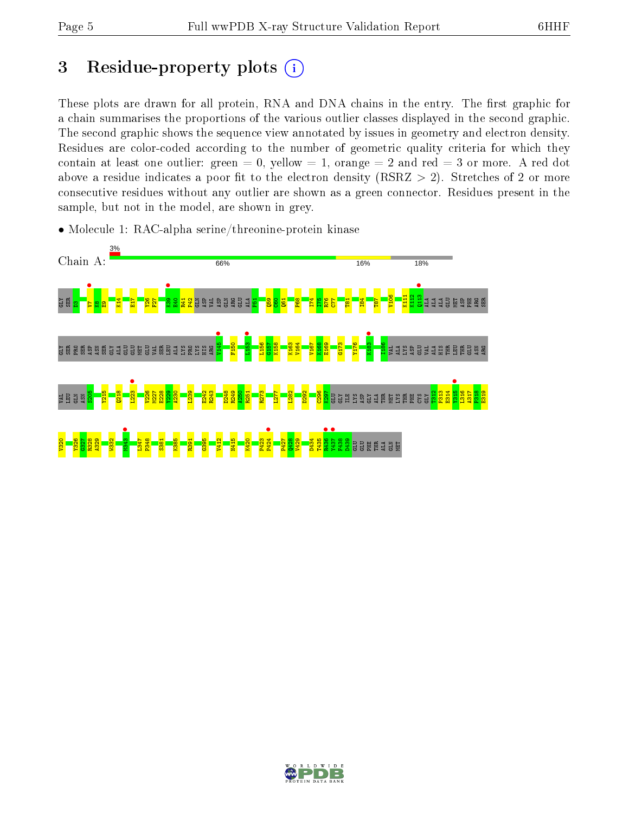ASP PHE ARG SER

THR GLU ASN ARG

L316 A317 P318 E319

## 3 Residue-property plots  $(i)$

These plots are drawn for all protein, RNA and DNA chains in the entry. The first graphic for a chain summarises the proportions of the various outlier classes displayed in the second graphic. The second graphic shows the sequence view annotated by issues in geometry and electron density. Residues are color-coded according to the number of geometric quality criteria for which they contain at least one outlier: green  $= 0$ , yellow  $= 1$ , orange  $= 2$  and red  $= 3$  or more. A red dot above a residue indicates a poor fit to the electron density (RSRZ  $> 2$ ). Stretches of 2 or more consecutive residues without any outlier are shown as a green connector. Residues present in the sample, but not in the model, are shown in grey.



• Molecule 1: RAC-alpha serine/threonine-protein kinase

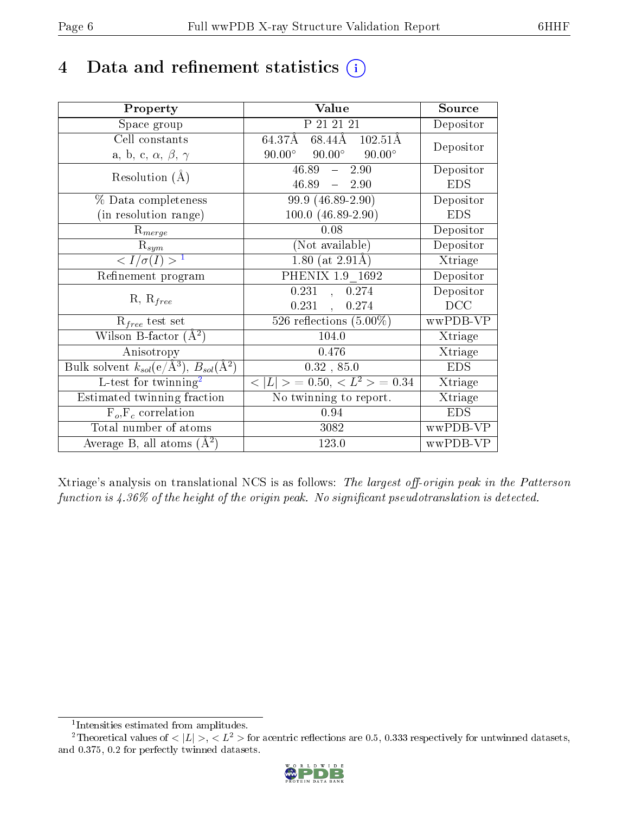## 4 Data and refinement statistics  $(i)$

| Property                                                         | Value                                            | Source     |
|------------------------------------------------------------------|--------------------------------------------------|------------|
| Space group                                                      | P 21 21 21                                       | Depositor  |
| Cell constants                                                   | $68.44\AA$ 102.51Å<br>$64.37\text{\AA}$          | Depositor  |
| a, b, c, $\alpha$ , $\beta$ , $\gamma$                           | $90.00^{\circ}$ $90.00^{\circ}$<br>$90.00^\circ$ |            |
| Resolution $(A)$                                                 | $46.89 - 2.90$                                   | Depositor  |
|                                                                  | $46.89 - 2.90$                                   | <b>EDS</b> |
| % Data completeness                                              | 99.9 (46.89-2.90)                                | Depositor  |
| (in resolution range)                                            | $100.0 (46.89 - 2.90)$                           | <b>EDS</b> |
| $R_{merge}$                                                      | 0.08                                             | Depositor  |
| $\mathrm{R}_{sym}$                                               | (Not available)                                  | Depositor  |
| $\sqrt{I/\sigma(I)} > 1$                                         | $1.80$ (at $2.91\text{\AA}$ )                    | Xtriage    |
| Refinement program                                               | PHENIX 1.9 1692                                  | Depositor  |
|                                                                  | 0.231, 0.274                                     | Depositor  |
| $R, R_{free}$                                                    | $0.231$ ,<br>0.274                               | DCC        |
| $R_{free}$ test set                                              | 526 reflections $(5.00\%)$                       | wwPDB-VP   |
| Wilson B-factor $(A^2)$                                          | 104.0                                            | Xtriage    |
| Anisotropy                                                       | 0.476                                            | Xtriage    |
| Bulk solvent $k_{sol}(\text{e}/\text{A}^3), B_{sol}(\text{A}^2)$ | $0.32$ , $85.0$                                  | <b>EDS</b> |
| L-test for twinning <sup>2</sup>                                 | $< L >$ = 0.50, $< L^2 >$ = 0.34                 | Xtriage    |
| Estimated twinning fraction                                      | No twinning to report.                           | Xtriage    |
| $F_o, F_c$ correlation                                           | 0.94                                             | <b>EDS</b> |
| Total number of atoms                                            | 3082                                             | wwPDB-VP   |
| Average B, all atoms $(A^2)$                                     | 123.0                                            | wwPDB-VP   |

Xtriage's analysis on translational NCS is as follows: The largest off-origin peak in the Patterson function is  $4.36\%$  of the height of the origin peak. No significant pseudotranslation is detected.

<sup>&</sup>lt;sup>2</sup>Theoretical values of  $\langle |L| \rangle$ ,  $\langle L^2 \rangle$  for acentric reflections are 0.5, 0.333 respectively for untwinned datasets, and 0.375, 0.2 for perfectly twinned datasets.



<span id="page-5-1"></span><span id="page-5-0"></span><sup>1</sup> Intensities estimated from amplitudes.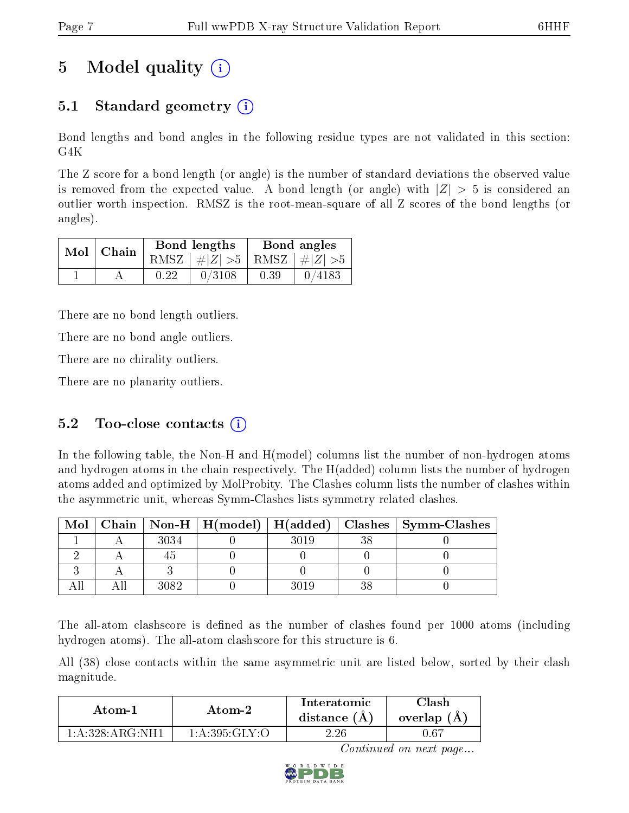# 5 Model quality  $(i)$

### 5.1 Standard geometry  $(i)$

Bond lengths and bond angles in the following residue types are not validated in this section: G4K

The Z score for a bond length (or angle) is the number of standard deviations the observed value is removed from the expected value. A bond length (or angle) with  $|Z| > 5$  is considered an outlier worth inspection. RMSZ is the root-mean-square of all Z scores of the bond lengths (or angles).

| $Mol$   Chain |      | Bond lengths                    | Bond angles |        |  |
|---------------|------|---------------------------------|-------------|--------|--|
|               |      | RMSZ $ #Z  > 5$ RMSZ $ #Z  > 5$ |             |        |  |
|               | 0.22 | 0/3108                          | 0.39        | 0/4183 |  |

There are no bond length outliers.

There are no bond angle outliers.

There are no chirality outliers.

There are no planarity outliers.

### 5.2 Too-close contacts  $(i)$

In the following table, the Non-H and H(model) columns list the number of non-hydrogen atoms and hydrogen atoms in the chain respectively. The H(added) column lists the number of hydrogen atoms added and optimized by MolProbity. The Clashes column lists the number of clashes within the asymmetric unit, whereas Symm-Clashes lists symmetry related clashes.

| Mol |      |      | Chain   Non-H   H(model)   H(added)   Clashes   Symm-Clashes |
|-----|------|------|--------------------------------------------------------------|
|     | 3034 | 3019 |                                                              |
|     |      |      |                                                              |
|     |      |      |                                                              |
|     | 3082 | 3019 |                                                              |

The all-atom clashscore is defined as the number of clashes found per 1000 atoms (including hydrogen atoms). The all-atom clashscore for this structure is 6.

All (38) close contacts within the same asymmetric unit are listed below, sorted by their clash magnitude.

| Atom-1                       | Atom-2          |          | 7lash<br>overlap (A) |
|------------------------------|-----------------|----------|----------------------|
| $1: A:328: A R G \cdot NH 1$ | 1: A:395: GLY:O | $2.26\,$ | 0.67                 |

Continued on next page...

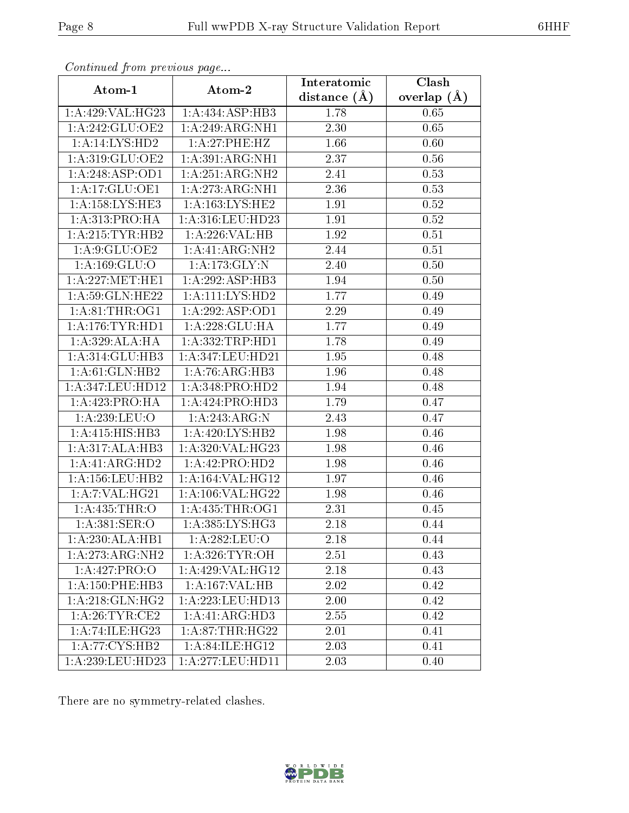| Continued from previous page |                             | Interatomic       | $\overline{\text{Clash}}$ |
|------------------------------|-----------------------------|-------------------|---------------------------|
| Atom-1                       | Atom-2                      | distance $(A)$    | overlap $(A)$             |
| 1:A:429:VAL:HG23             | 1:A:434:ASP:HB3             | 1.78              | 0.65                      |
| 1:A:242:GLU:OE2              | 1:A:249:ARG:NH1             | 2.30              | 0.65                      |
| 1:A:14:LYS:HD2               | 1:A:27:PHE:HZ               | 1.66              | 0.60                      |
| 1:A:319:GLU:OE2              | 1:A:391:ARG:NH1             | 2.37              | 0.56                      |
| 1:A:248:ASP:OD1              | 1:A:251:ARG:NH2             | 2.41              | 0.53                      |
| 1:A:17:GLU:OE1               | 1:A:273:ARG:NH1             | 2.36              | 0.53                      |
| 1: A: 158: LYS: HE3          | 1:A:163:LYS:HE2             | 1.91              | 0.52                      |
| 1:A:313:PRO:HA               | 1:A:316:LEU:HD23            | 1.91              | 0.52                      |
| 1: A:215:TYR:HB2             | 1:A:226:VAL:HB              | 1.92              | 0.51                      |
| 1:A:9:GLU:OE2                | 1:A:41:ARG:NH2              | 2.44              | 0.51                      |
| 1:A:169:GLU:O                | 1:A:173:GLY:N               | 2.40              | 0.50                      |
| 1: A:227: MET:HE1            | 1:A:292:ASP:HB3             | 1.94              | 0.50                      |
| 1: A:59: GLN: HE22           | 1:A:111:LYS:HD2             | 1.77              | 0.49                      |
| 1: A:81:THR:OG1              | 1:A:292:ASP:OD1             | 2.29              | 0.49                      |
| 1: A:176:TYR:HD1             | 1:A:228:GLU:HA              | 1.77              | 0.49                      |
| 1:A:329:ALA:HA               | 1: A: 332: TRP: HD1         | $\overline{1.78}$ | 0.49                      |
| 1:A:314:GLU:HB3              | 1:A:347:LEU:HD21            | 1.95              | 0.48                      |
| 1:A:61:GLN:HB2               | 1: A:76: ARG: HB3           | 1.96              | 0.48                      |
| 1:A:347:LEU:HD12             | 1: A:348: PRO:HD2           | 1.94              | 0.48                      |
| 1:A:423:PRO:HA               | 1:A:424:PRO:H <sub>D3</sub> | 1.79              | 0.47                      |
| 1:A:239:LEU:O                | 1: A:243:ARG:N              | 2.43              | 0.47                      |
| 1:A:415:HIS:HB3              | 1: A:420: LYS: HB2          | 1.98              | 0.46                      |
| 1:A:317:ALA:HB3              | 1:A:320:VAL:HG23            | 1.98              | 0.46                      |
| 1:A:41:ARG:HD2               | 1:A:42:PRO:HD2              | 1.98              | 0.46                      |
| 1: A:156:LEU:HB2             | 1:A:164:VAL:HG12            | 1.97              | 0.46                      |
| 1: A: 7: VAL:HG21            | 1:A:106:VAL:HG22            | 1.98              | 0.46                      |
| 1: A:435:THR:O               | 1: A: 435: THR: OG1         | 2.31              | 0.45                      |
| 1: A:381: SER:O              | 1: A:385:LYS:HG3            | 2.18              | 0.44                      |
| 1:A:230:ALA:HB1              | 1:A:282:LEU:O               | 2.18              | 0.44                      |
| 1:A:273:ARG:NH2              | 1: A:326: TYR:OH            | 2.51              | 0.43                      |
| 1:A:427:PRO:O                | 1:A:429:VAL:HG12            | 2.18              | 0.43                      |
| 1: A: 150: PHE: HB3          | 1:A:167:VAL:HB              | 2.02              | 0.42                      |
| 1: A:218: GLN: HG2           | 1:A:223:LEU:HD13            | 2.00              | 0.42                      |
| 1: A:26:TYR:CE2              | 1:A:41:ARG:HD3              | 2.55              | 0.42                      |
| 1:A:74:ILE:HG23              | 1: A:87:THR:HG22            | 2.01              | 0.41                      |
| 1:A:77:CYS:HB2               | 1: A:84: ILE:HG12           | 2.03              | 0.41                      |
| 1:A:239:LEU:HD23             | 1:A:277:LEU:HD11            | 2.03              | 0.40                      |

Continued from previous page.

There are no symmetry-related clashes.

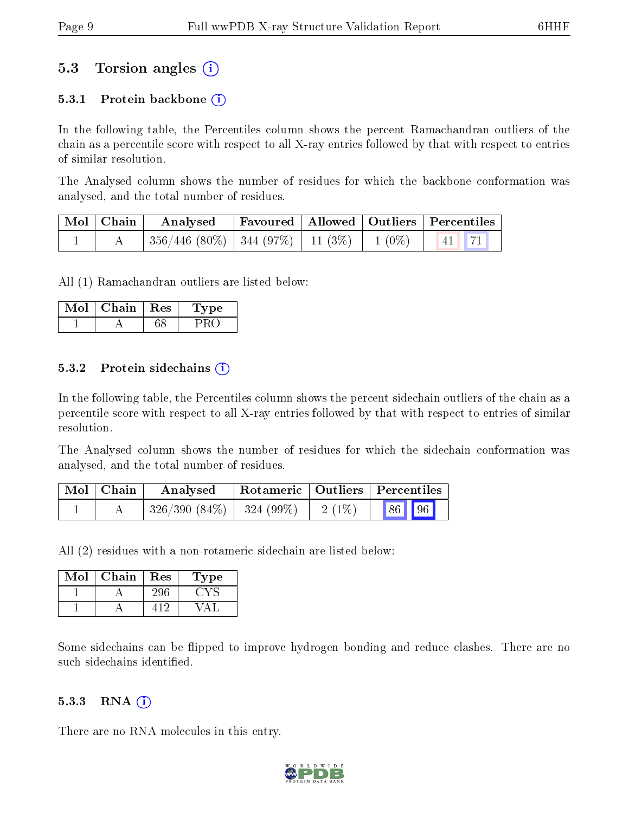#### 5.3 Torsion angles (i)

#### 5.3.1 Protein backbone  $(i)$

In the following table, the Percentiles column shows the percent Ramachandran outliers of the chain as a percentile score with respect to all X-ray entries followed by that with respect to entries of similar resolution.

The Analysed column shows the number of residues for which the backbone conformation was analysed, and the total number of residues.

| $\mid$ Mol $\mid$ Chain $\mid$ |                                                               | Analysed Favoured   Allowed   Outliers   Percentiles |  |  |  |
|--------------------------------|---------------------------------------------------------------|------------------------------------------------------|--|--|--|
|                                | $\mid$ 356/446 (80%)   344 (97%)   11 (3%)   1 (0%)   41   71 |                                                      |  |  |  |

All (1) Ramachandran outliers are listed below:

| Mol | Chain | Res | vpe |
|-----|-------|-----|-----|
|     |       |     |     |

#### 5.3.2 Protein sidechains  $\hat{I}$

In the following table, the Percentiles column shows the percent sidechain outliers of the chain as a percentile score with respect to all X-ray entries followed by that with respect to entries of similar resolution.

The Analysed column shows the number of residues for which the sidechain conformation was analysed, and the total number of residues.

| $\vert$ Mol $\vert$ Chain | Analysed                   |          | Rotameric   Outliers   Percentiles |  |
|---------------------------|----------------------------|----------|------------------------------------|--|
|                           | $326/390(84\%)$ 324 (99\%) | $2(1\%)$ | 86 96                              |  |

All (2) residues with a non-rotameric sidechain are listed below:

| Mol | Chain | Res | Type |
|-----|-------|-----|------|
|     |       |     |      |
|     |       |     |      |

Some sidechains can be flipped to improve hydrogen bonding and reduce clashes. There are no such sidechains identified.

#### 5.3.3 RNA  $(i)$

There are no RNA molecules in this entry.

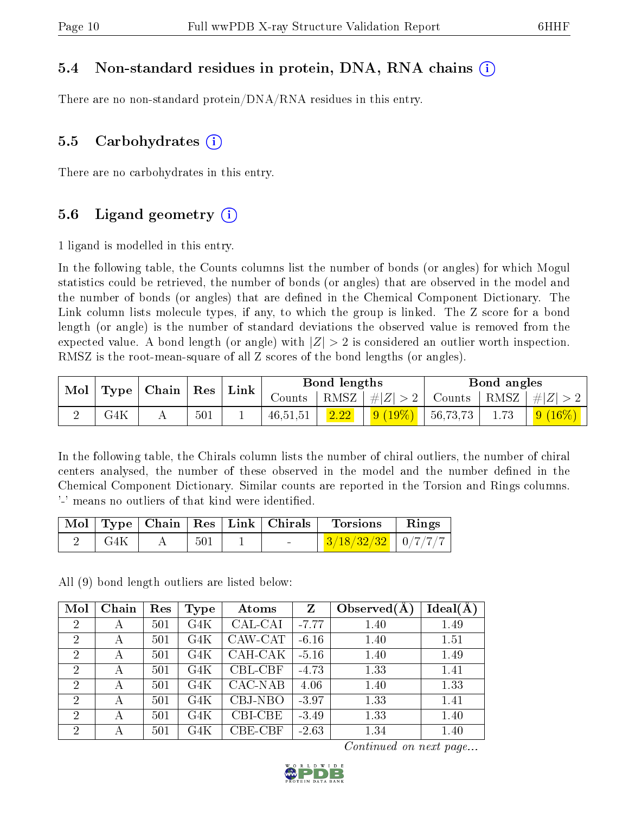#### 5.4 Non-standard residues in protein, DNA, RNA chains (i)

There are no non-standard protein/DNA/RNA residues in this entry.

#### 5.5 Carbohydrates  $(i)$

There are no carbohydrates in this entry.

### 5.6 Ligand geometry  $(i)$

1 ligand is modelled in this entry.

In the following table, the Counts columns list the number of bonds (or angles) for which Mogul statistics could be retrieved, the number of bonds (or angles) that are observed in the model and the number of bonds (or angles) that are dened in the Chemical Component Dictionary. The Link column lists molecule types, if any, to which the group is linked. The Z score for a bond length (or angle) is the number of standard deviations the observed value is removed from the expected value. A bond length (or angle) with  $|Z| > 2$  is considered an outlier worth inspection. RMSZ is the root-mean-square of all Z scores of the bond lengths (or angles).

| $\mid$ Mol $\mid$ | $\mid$ Type $\mid$ Chain $\mid$ Res $\mid$ Link |  |     | Bond lengths |      |                     | Bond angles |                                                                   |             |
|-------------------|-------------------------------------------------|--|-----|--------------|------|---------------------|-------------|-------------------------------------------------------------------|-------------|
|                   |                                                 |  |     |              |      |                     |             | Counts   RMSZ $\mid \#  Z  > 2$   Counts   RMSZ $\mid \#  Z  > 2$ |             |
|                   | G4K                                             |  | 501 | 46,51,51     | 2.22 | $\frac{9(19\%)}{ }$ | 56,73,73    | 1.73                                                              | $ 9(16\%) $ |

In the following table, the Chirals column lists the number of chiral outliers, the number of chiral centers analysed, the number of these observed in the model and the number defined in the Chemical Component Dictionary. Similar counts are reported in the Torsion and Rings columns. '-' means no outliers of that kind were identified.

|       |     |                          | Mol   Type   Chain   Res   Link   Chirals   Torsions | Rings |
|-------|-----|--------------------------|------------------------------------------------------|-------|
| - G4K | 501 | <b>Contract Contract</b> | $3/18/32/32$   0/7/7/7                               |       |

All (9) bond length outliers are listed below:

| Mol            | Chain | Res | Type | Atoms   | Z       | Observed $(A$ | Ideal(A) |
|----------------|-------|-----|------|---------|---------|---------------|----------|
| $\overline{2}$ | А     | 501 | G4K  | CAL-CAI | $-7.77$ | 1.40          | 1.49     |
| $\overline{2}$ | А     | 501 | G4K  | CAW-CAT | $-6.16$ | 1.40          | 1.51     |
| $\overline{2}$ | А     | 501 | G4K  | CAH-CAK | $-5.16$ | 1.40          | 1.49     |
| $\overline{2}$ | А     | 501 | G4K  | CBL-CBF | $-4.73$ | 1.33          | 1.41     |
| $\overline{2}$ | А     | 501 | G4K  | CAC-NAB | 4.06    | 1.40          | 1.33     |
| $\overline{2}$ | А     | 501 | G4K  | CBJ-NBO | $-3.97$ | 1.33          | 1.41     |
| $\overline{2}$ | А     | 501 | G4K  | CBI-CBE | $-3.49$ | 1.33          | 1.40     |
| $\overline{2}$ | А     | 501 | G4K  | CBE-CBF | $-2.63$ | 1.34          | 1.40     |

Continued on next page...

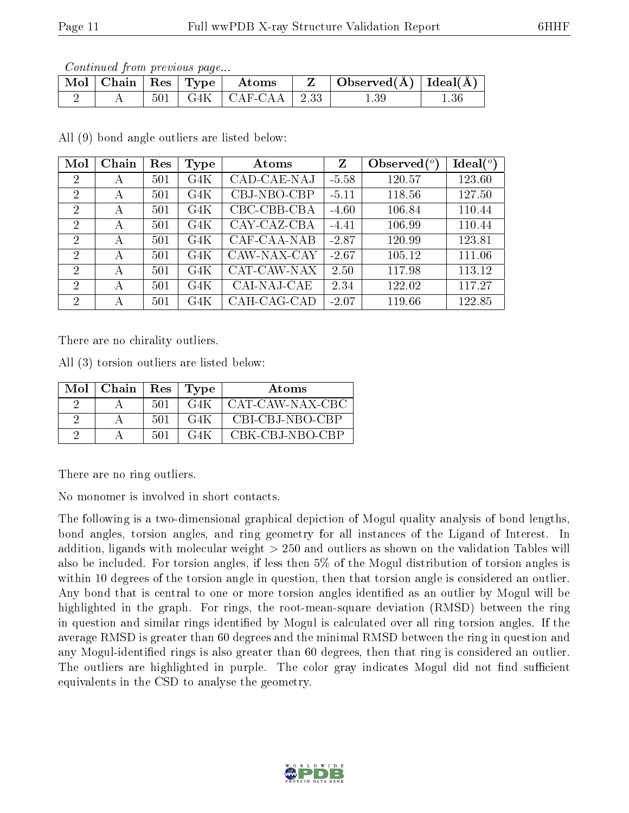Continued from previous page...

| Mol   Chain |     | $\parallel$ Res $\parallel$ Type $\parallel$ Atoms |      | Observed( $\AA$ )   Ideal( $\AA$ ) |        |
|-------------|-----|----------------------------------------------------|------|------------------------------------|--------|
|             | 501 | $G4K$   $CAF-CAA$                                  | 2.33 |                                    | $-.36$ |

All (9) bond angle outliers are listed below:

| Mol            | Chain        | Res | Type | Atoms       | $\mathbf{Z}$ | Observed $(°)$ | Ideal (°) |
|----------------|--------------|-----|------|-------------|--------------|----------------|-----------|
| $\overline{2}$ | А            | 501 | G4K  | CAD-CAE-NAJ | $-5.58$      | 120.57         | 123.60    |
| 2              | А            | 501 | G4K  | CBJ-NBO-CBP | $-5.11$      | 118.56         | 127.50    |
| 2              | А            | 501 | G4K  | CBC-CBB-CBA | $-4.60$      | 106.84         | 110.44    |
| $\overline{2}$ | А            | 501 | G4K  | CAY-CAZ-CBA | $-4.41$      | 106.99         | 110.44    |
| 2              | А            | 501 | G4K  | CAF-CAA-NAB | $-2.87$      | 120.99         | 123.81    |
| 2              | А            | 501 | G4K  | CAW-NAX-CAY | $-2.67$      | 105.12         | 111.06    |
| $\overline{2}$ | $\mathbf{A}$ | 501 | G4K  | CAT-CAW-NAX | 2.50         | 117.98         | 113.12    |
| 2              | А            | 501 | G4K  | CAI-NAJ-CAE | 2.34         | 122.02         | 117.27    |
| 2              | А            | 501 | G4K  | CAH-CAG-CAD | $-2.07$      | 119.66         | 122.85    |

There are no chirality outliers.

All (3) torsion outliers are listed below:

| Mol | Chain | $_{\rm Res}$ | Type | <b>Atoms</b>    |
|-----|-------|--------------|------|-----------------|
|     |       | 501          | G4K  | CAT-CAW-NAX-CBC |
|     |       | 501          | G4K  | CBI-CBJ-NBO-CBP |
|     |       | .501         | G41  | CBK-CBJ-NBO-CBP |

There are no ring outliers.

No monomer is involved in short contacts.

The following is a two-dimensional graphical depiction of Mogul quality analysis of bond lengths, bond angles, torsion angles, and ring geometry for all instances of the Ligand of Interest. In addition, ligands with molecular weight > 250 and outliers as shown on the validation Tables will also be included. For torsion angles, if less then 5% of the Mogul distribution of torsion angles is within 10 degrees of the torsion angle in question, then that torsion angle is considered an outlier. Any bond that is central to one or more torsion angles identified as an outlier by Mogul will be highlighted in the graph. For rings, the root-mean-square deviation (RMSD) between the ring in question and similar rings identified by Mogul is calculated over all ring torsion angles. If the average RMSD is greater than 60 degrees and the minimal RMSD between the ring in question and any Mogul-identified rings is also greater than 60 degrees, then that ring is considered an outlier. The outliers are highlighted in purple. The color gray indicates Mogul did not find sufficient equivalents in the CSD to analyse the geometry.

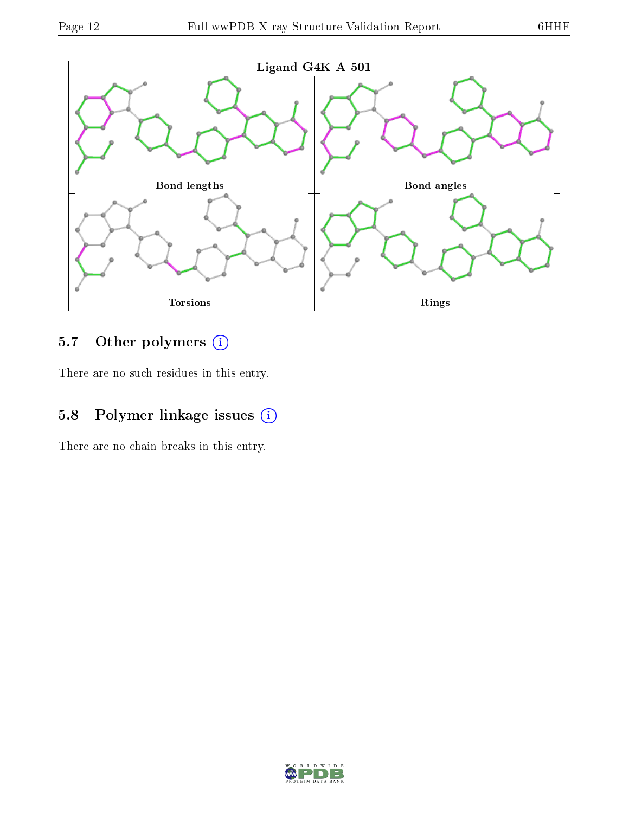

## 5.7 [O](https://www.wwpdb.org/validation/2017/XrayValidationReportHelp#nonstandard_residues_and_ligands)ther polymers (i)

There are no such residues in this entry.

### 5.8 Polymer linkage issues (i)

There are no chain breaks in this entry.

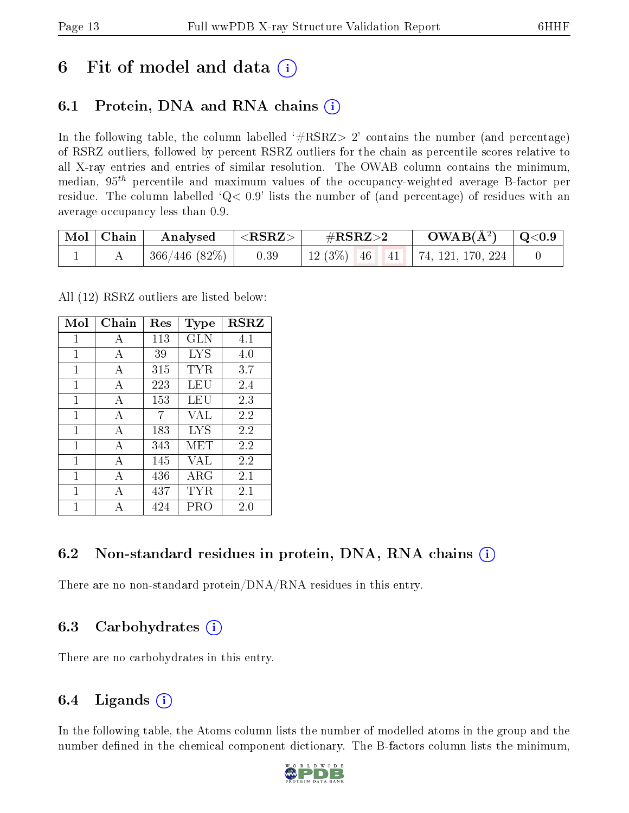## 6 Fit of model and data  $(i)$

### 6.1 Protein, DNA and RNA chains (i)

In the following table, the column labelled  $#RSRZ>2'$  contains the number (and percentage) of RSRZ outliers, followed by percent RSRZ outliers for the chain as percentile scores relative to all X-ray entries and entries of similar resolution. The OWAB column contains the minimum, median,  $95<sup>th</sup>$  percentile and maximum values of the occupancy-weighted average B-factor per residue. The column labelled  $Q< 0.9$  lists the number of (and percentage) of residues with an average occupancy less than 0.9.

| Mol   Chain | Analysed     | $  <$ RSRZ $>$ $ $ | $\#\text{RSRZ}\text{>2}$ |  | $\rm{OWAB}(\AA^2)$ $\vert$ Q<0.9      |  |
|-------------|--------------|--------------------|--------------------------|--|---------------------------------------|--|
|             | 366/446(82%) | 0.39               |                          |  | 12 (3%)   46   41   74, 121, 170, 224 |  |

All (12) RSRZ outliers are listed below:

| Mol | ${\rm Chain}$ | $\operatorname{Res}% \left( \mathcal{N}\right) \equiv\operatorname{Res}(\mathcal{N}_{0})\cap\mathcal{N}_{1}$ | Type        | <b>RSRZ</b> |  |
|-----|---------------|--------------------------------------------------------------------------------------------------------------|-------------|-------------|--|
| 1   | A             | 113                                                                                                          | GLN         | 4.1         |  |
| 1   | A             | 39                                                                                                           | <b>LYS</b>  | 4.0         |  |
| 1   | A             | 315                                                                                                          | TYR         | 3.7         |  |
| 1   | A             | 223                                                                                                          | LEU         | 2.4         |  |
| 1   | A             | 153                                                                                                          | LEU         | 2.3         |  |
| 1   | A             | 7                                                                                                            | VAL         | 2.2         |  |
| 1   | $\mathbf{A}$  | 183                                                                                                          | LYS         | 2.2         |  |
| 1   | А             | 343                                                                                                          | MET         | 2.2         |  |
| 1   | A             | 145                                                                                                          | VAL         | 2.2         |  |
| 1   | А             | 436                                                                                                          | ${\rm ARG}$ | 2.1         |  |
| 1   | А             | 437                                                                                                          | TYR         | 2.1         |  |
| 1   | А             | 424                                                                                                          | PRO         | 2.0         |  |

### 6.2 Non-standard residues in protein, DNA, RNA chains  $(i)$

There are no non-standard protein/DNA/RNA residues in this entry.

### 6.3 Carbohydrates (i)

There are no carbohydrates in this entry.

### 6.4 Ligands  $(i)$

In the following table, the Atoms column lists the number of modelled atoms in the group and the number defined in the chemical component dictionary. The B-factors column lists the minimum,